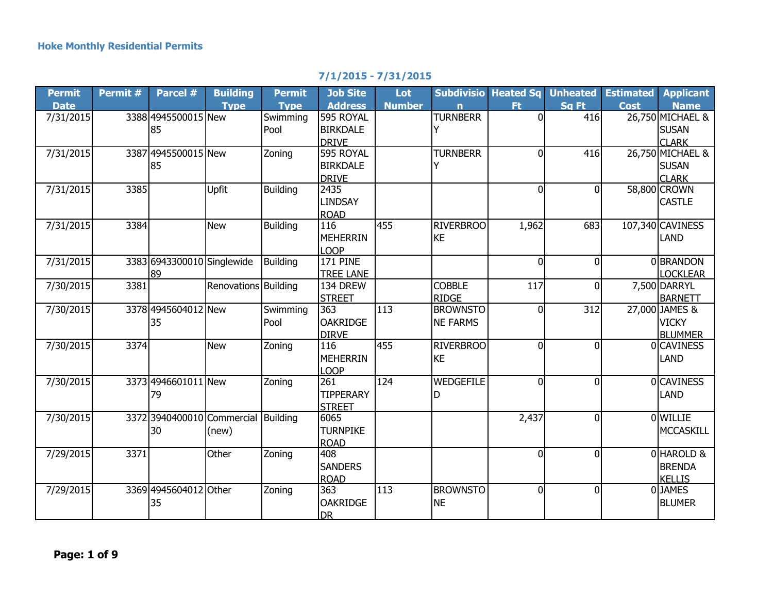## **7/1/2015 - 7/31/2015**

| <b>Permit</b> | Permit # | Parcel #                            | <b>Building</b>      | <b>Permit</b>   | <b>Job Site</b>  | Lot           |                  | <b>Subdivisio Heated Sq</b> | <b>Unheated</b> | <b>Estimated</b> | <b>Applicant</b> |
|---------------|----------|-------------------------------------|----------------------|-----------------|------------------|---------------|------------------|-----------------------------|-----------------|------------------|------------------|
| <b>Date</b>   |          |                                     | <b>Type</b>          | <b>Type</b>     | <b>Address</b>   | <b>Number</b> | n                | Ft.                         | Sa Ft           | <b>Cost</b>      | <b>Name</b>      |
| 7/31/2015     |          | 3388 4945500015 New                 |                      | Swimming        | 595 ROYAL        |               | <b>TURNBERR</b>  | $\overline{0}$              | 416             |                  | 26,750 MICHAEL & |
|               |          | 85                                  |                      | Pool            | <b>BIRKDALE</b>  |               |                  |                             |                 |                  | <b>SUSAN</b>     |
|               |          |                                     |                      |                 | <b>DRIVE</b>     |               |                  |                             |                 |                  | <b>CLARK</b>     |
| 7/31/2015     |          | 3387 4945500015 New                 |                      | Zoning          | 595 ROYAL        |               | <b>TURNBERR</b>  | $\overline{0}$              | 416             |                  | 26,750 MICHAEL & |
|               |          | 85                                  |                      |                 | <b>BIRKDALE</b>  |               | Y                |                             |                 |                  | <b>SUSAN</b>     |
|               |          |                                     |                      |                 | <b>DRIVE</b>     |               |                  |                             |                 |                  | <b>CLARK</b>     |
| 7/31/2015     | 3385     |                                     | <b>Upfit</b>         | <b>Building</b> | 2435             |               |                  | $\overline{0}$              | $\Omega$        |                  | 58,800 CROWN     |
|               |          |                                     |                      |                 | <b>LINDSAY</b>   |               |                  |                             |                 |                  | <b>CASTLE</b>    |
|               |          |                                     |                      |                 | <b>ROAD</b>      |               |                  |                             |                 |                  |                  |
| 7/31/2015     | 3384     |                                     | <b>New</b>           | <b>Building</b> | 116              | 455           | <b>RIVERBROO</b> | 1,962                       | 683             |                  | 107,340 CAVINESS |
|               |          |                                     |                      |                 | <b>MEHERRIN</b>  |               | <b>KE</b>        |                             |                 |                  | <b>LAND</b>      |
|               |          |                                     |                      |                 | LOOP             |               |                  |                             |                 |                  |                  |
| 7/31/2015     |          | 3383 6943300010 Singlewide          |                      | <b>Building</b> | <b>171 PINE</b>  |               |                  | 0                           | $\Omega$        |                  | 0 BRANDON        |
|               |          | 89                                  |                      |                 | <b>TREE LANE</b> |               |                  |                             |                 |                  | <b>LOCKLEAR</b>  |
| 7/30/2015     | 3381     |                                     | Renovations Building |                 | 134 DREW         |               | <b>COBBLE</b>    | 117                         | 0               |                  | 7,500 DARRYL     |
|               |          |                                     |                      |                 | <b>STREET</b>    |               | <b>RIDGE</b>     |                             |                 |                  | <b>BARNETT</b>   |
| 7/30/2015     |          | 3378 4945604012 New                 |                      | Swimming        | 363              | 113           | <b>BROWNSTO</b>  | $\overline{0}$              | 312             |                  | 27,000 JAMES &   |
|               |          | 35                                  |                      | Pool            | <b>OAKRIDGE</b>  |               | <b>NE FARMS</b>  |                             |                 |                  | <b>VICKY</b>     |
|               |          |                                     |                      |                 | <b>DIRVE</b>     |               |                  |                             |                 |                  | <b>BLUMMER</b>   |
| 7/30/2015     | 3374     |                                     | <b>New</b>           | Zoning          | 116              | 455           | <b>RIVERBROO</b> | $\overline{0}$              | $\Omega$        |                  | <b>OCAVINESS</b> |
|               |          |                                     |                      |                 | <b>MEHERRIN</b>  |               | <b>KE</b>        |                             |                 |                  | LAND             |
|               |          |                                     |                      |                 | LOOP             |               |                  |                             |                 |                  |                  |
| 7/30/2015     |          | 3373 4946601011 New                 |                      | Zoning          | 261              | 124           | WEDGEFILE        | $\overline{0}$              | $\Omega$        |                  | <b>OCAVINESS</b> |
|               |          | 79                                  |                      |                 | <b>TIPPERARY</b> |               | D                |                             |                 |                  | LAND             |
|               |          |                                     |                      |                 | <b>STREET</b>    |               |                  |                             |                 |                  |                  |
| 7/30/2015     |          | 3372 3940400010 Commercial Building |                      |                 | 6065             |               |                  | 2,437                       | $\mathbf{0}$    |                  | 0 WILLIE         |
|               |          | 30                                  | (new)                |                 | <b>TURNPIKE</b>  |               |                  |                             |                 |                  | <b>MCCASKILL</b> |
|               |          |                                     |                      |                 | <b>ROAD</b>      |               |                  |                             |                 |                  |                  |
| 7/29/2015     | 3371     |                                     | Other                | Zoning          | 408              |               |                  | $\overline{0}$              | 0               |                  | 0 HAROLD &       |
|               |          |                                     |                      |                 | <b>SANDERS</b>   |               |                  |                             |                 |                  | <b>BRENDA</b>    |
|               |          |                                     |                      |                 | <b>ROAD</b>      |               |                  |                             |                 |                  | <b>KELLIS</b>    |
| 7/29/2015     |          | 3369 4945604012 Other               |                      | Zoning          | 363              | 113           | <b>BROWNSTO</b>  | $\overline{0}$              | $\overline{0}$  |                  | 0JAMES           |
|               |          | 35                                  |                      |                 | <b>OAKRIDGE</b>  |               | <b>NE</b>        |                             |                 |                  | <b>BLUMER</b>    |
|               |          |                                     |                      |                 | <b>DR</b>        |               |                  |                             |                 |                  |                  |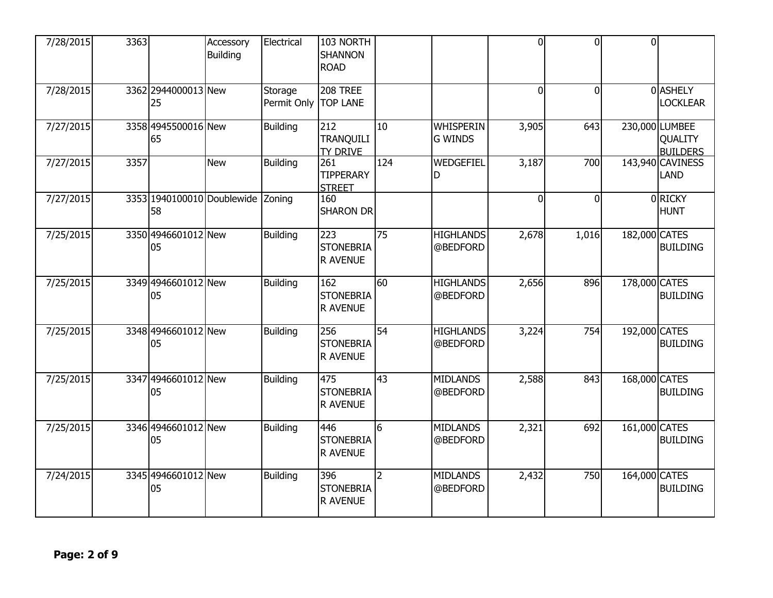| 7/28/2015 | 3363 |                                  | Accessory<br><b>Building</b> | Electrical             | 103 NORTH<br><b>SHANNON</b><br><b>ROAD</b> |                 |                                    | $\overline{0}$ | $\overline{0}$ | $\overline{0}$ |                                              |
|-----------|------|----------------------------------|------------------------------|------------------------|--------------------------------------------|-----------------|------------------------------------|----------------|----------------|----------------|----------------------------------------------|
| 7/28/2015 |      | 3362 2944000013 New<br>25        |                              | Storage<br>Permit Only | 208 TREE<br><b>TOP LANE</b>                |                 |                                    | $\overline{0}$ | $\overline{0}$ |                | 0 ASHELY<br><b>LOCKLEAR</b>                  |
| 7/27/2015 |      | 3358 4945500016 New<br>65        |                              | <b>Building</b>        | 212<br><b>TRANQUILI</b><br><b>TY DRIVE</b> | 10              | <b>WHISPERIN</b><br><b>G WINDS</b> | 3,905          | 643            |                | 230,000 LUMBEE<br>QUALITY<br><b>BUILDERS</b> |
| 7/27/2015 | 3357 |                                  | New                          | <b>Building</b>        | 261<br><b>TIPPERARY</b><br><b>STREET</b>   | 124             | WEDGEFIEL<br>D                     | 3,187          | 700            |                | 143,940 CAVINESS<br>LAND                     |
| 7/27/2015 |      | 3353 1940100010 Doublewide<br>58 |                              | Zoning                 | 160<br><b>SHARON DR</b>                    |                 |                                    | $\mathbf{0}$   | $\overline{0}$ |                | 0RICKY<br><b>HUNT</b>                        |
| 7/25/2015 |      | 3350 4946601012 New<br>05        |                              | <b>Building</b>        | 223<br><b>STONEBRIA</b><br><b>R AVENUE</b> | $\overline{75}$ | <b>HIGHLANDS</b><br>@BEDFORD       | 2,678          | 1,016          | 182,000 CATES  | <b>BUILDING</b>                              |
| 7/25/2015 |      | 3349 4946601012 New<br>05        |                              | <b>Building</b>        | 162<br><b>STONEBRIA</b><br><b>R AVENUE</b> | 60              | <b>HIGHLANDS</b><br>@BEDFORD       | 2,656          | 896            | 178,000 CATES  | <b>BUILDING</b>                              |
| 7/25/2015 |      | 3348 4946601012 New<br>05        |                              | <b>Building</b>        | 256<br><b>STONEBRIA</b><br><b>R AVENUE</b> | 54              | <b>HIGHLANDS</b><br>@BEDFORD       | 3,224          | 754            | 192,000 CATES  | <b>BUILDING</b>                              |
| 7/25/2015 |      | 3347 4946601012 New<br>05        |                              | <b>Building</b>        | 475<br><b>STONEBRIA</b><br><b>R AVENUE</b> | $\overline{43}$ | <b>MIDLANDS</b><br>@BEDFORD        | 2,588          | 843            | 168,000 CATES  | <b>BUILDING</b>                              |
| 7/25/2015 |      | 3346 4946601012 New<br>05        |                              | <b>Building</b>        | 446<br><b>STONEBRIA</b><br><b>R AVENUE</b> | $\overline{6}$  | <b>MIDLANDS</b><br>@BEDFORD        | 2,321          | 692            | 161,000 CATES  | <b>BUILDING</b>                              |
| 7/24/2015 |      | 3345 4946601012 New<br>05        |                              | Building               | 396<br><b>STONEBRIA</b><br><b>R AVENUE</b> | $\overline{2}$  | <b>MIDLANDS</b><br>@BEDFORD        | 2,432          | 750            | 164,000 CATES  | <b>BUILDING</b>                              |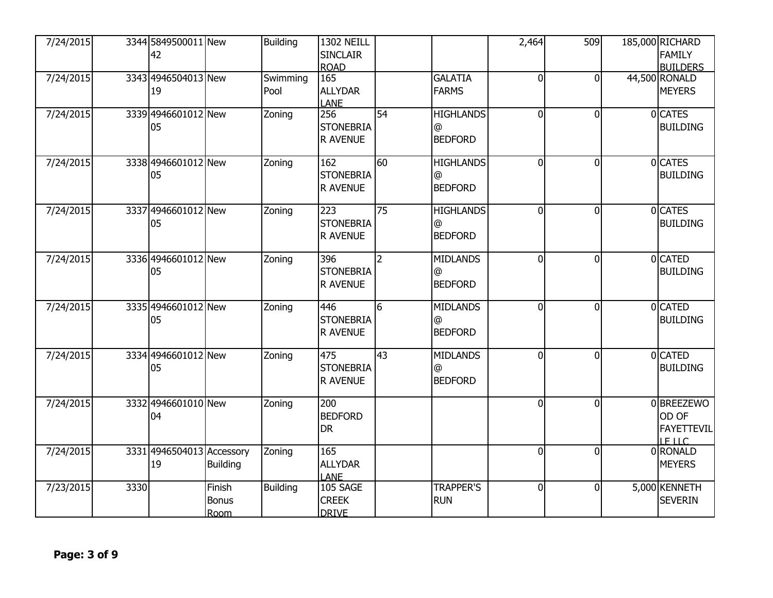| 7/24/2015 |      | 3344 5849500011 New<br>42       |                                | <b>Building</b>  | <b>1302 NEILL</b><br><b>SINCLAIR</b><br><b>ROAD</b> |                 |                                         | 2,464          | 509            | 185,000 RICHARD<br><b>FAMILY</b><br><b>BUILDERS</b>       |
|-----------|------|---------------------------------|--------------------------------|------------------|-----------------------------------------------------|-----------------|-----------------------------------------|----------------|----------------|-----------------------------------------------------------|
| 7/24/2015 |      | 3343 4946504013 New<br>19       |                                | Swimming<br>Pool | 165<br><b>ALLYDAR</b><br><b>LANE</b>                |                 | <b>GALATIA</b><br><b>FARMS</b>          | $\overline{0}$ | $\Omega$       | 44,500 RONALD<br><b>MEYERS</b>                            |
| 7/24/2015 |      | 3339 4946601012 New<br>05       |                                | Zoning           | 256<br><b>STONEBRIA</b><br><b>R AVENUE</b>          | 54              | <b>HIGHLANDS</b><br>@<br><b>BEDFORD</b> | $\overline{0}$ | $\overline{0}$ | 0 CATES<br><b>BUILDING</b>                                |
| 7/24/2015 |      | 3338 4946601012 New<br>05       |                                | Zoning           | 162<br><b>STONEBRIA</b><br>R AVENUE                 | 60              | <b>HIGHLANDS</b><br>@<br><b>BEDFORD</b> | $\overline{0}$ | $\Omega$       | 0 CATES<br><b>BUILDING</b>                                |
| 7/24/2015 |      | 3337 4946601012 New<br>05       |                                | Zoning           | 223<br><b>STONEBRIA</b><br><b>R AVENUE</b>          | 75              | <b>HIGHLANDS</b><br>@<br><b>BEDFORD</b> | 0              | $\Omega$       | 0 CATES<br><b>BUILDING</b>                                |
| 7/24/2015 |      | 3336 4946601012 New<br>05       |                                | Zoning           | 396<br><b>STONEBRIA</b><br><b>R AVENUE</b>          | $\overline{2}$  | <b>MIDLANDS</b><br>@<br><b>BEDFORD</b>  | $\overline{0}$ | $\Omega$       | 0 CATED<br><b>BUILDING</b>                                |
| 7/24/2015 |      | 3335 4946601012 New<br>05       |                                | Zoning           | 446<br><b>STONEBRIA</b><br><b>R AVENUE</b>          | 6               | <b>MIDLANDS</b><br>@<br><b>BEDFORD</b>  | 0              | $\overline{0}$ | 0 CATED<br><b>BUILDING</b>                                |
| 7/24/2015 |      | 3334 4946601012 New<br>05       |                                | Zoning           | 475<br><b>STONEBRIA</b><br><b>R AVENUE</b>          | $\overline{43}$ | <b>MIDLANDS</b><br>@<br><b>BEDFORD</b>  | $\overline{0}$ | $\Omega$       | 0 CATED<br><b>BUILDING</b>                                |
| 7/24/2015 |      | 3332 4946601010 New<br>04       |                                | Zoning           | 200<br><b>BEDFORD</b><br><b>DR</b>                  |                 |                                         | $\overline{0}$ | $\Omega$       | 0 BREEZEWO<br>OD OF<br><b>FAYETTEVIL</b><br><b>LE LLC</b> |
| 7/24/2015 |      | 3331 4946504013 Accessory<br>19 | <b>Building</b>                | Zoning           | 165<br><b>ALLYDAR</b><br><b>LANE</b>                |                 |                                         | $\overline{0}$ | $\overline{0}$ | 0 RONALD<br><b>MEYERS</b>                                 |
| 7/23/2015 | 3330 |                                 | Finish<br><b>Bonus</b><br>Room | <b>Building</b>  | 105 SAGE<br><b>CREEK</b><br><b>DRIVE</b>            |                 | <b>TRAPPER'S</b><br><b>RUN</b>          | $\mathbf 0$    | $\overline{0}$ | 5,000 KENNETH<br><b>SEVERIN</b>                           |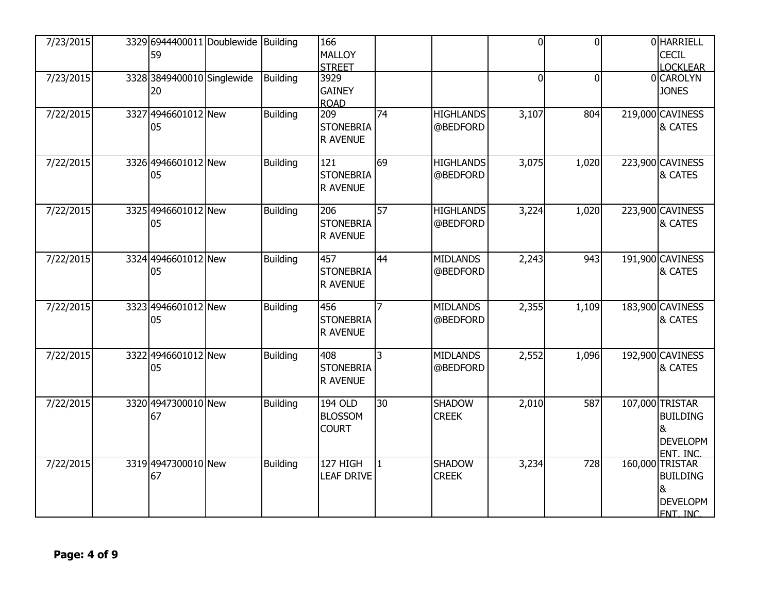| 7/23/2015 | 3329 6944400011 Doublewide<br>59 | Building        | 166<br><b>MALLOY</b><br><b>STREET</b>            |    |                               | $\overline{0}$ | $\overline{0}$ | 0 HARRIELL<br><b>CECIL</b><br><b>LOCKLEAR</b>                          |
|-----------|----------------------------------|-----------------|--------------------------------------------------|----|-------------------------------|----------------|----------------|------------------------------------------------------------------------|
| 7/23/2015 | 3328 3849400010 Singlewide<br>20 | <b>Building</b> | 3929<br><b>GAINEY</b><br><b>ROAD</b>             |    |                               | $\overline{0}$ | $\Omega$       | 0 CAROLYN<br><b>JONES</b>                                              |
| 7/22/2015 | 3327 4946601012 New<br>05        | <b>Building</b> | 209<br><b>STONEBRIA</b><br>R AVENUE              | 74 | <b>HIGHLANDS</b><br>@BEDFORD  | 3,107          | 804            | 219,000 CAVINESS<br>& CATES                                            |
| 7/22/2015 | 3326 4946601012 New<br>05        | <b>Building</b> | 121<br><b>STONEBRIA</b><br>R AVENUE              | 69 | <b>HIGHLANDS</b><br>@BEDFORD  | 3,075          | 1,020          | 223,900 CAVINESS<br><b>&amp; CATES</b>                                 |
| 7/22/2015 | 3325 4946601012 New<br>05        | <b>Building</b> | 206<br><b>STONEBRIA</b><br>R AVENUE              | 57 | <b>HIGHLANDS</b><br>@BEDFORD  | 3,224          | 1,020          | 223,900 CAVINESS<br>& CATES                                            |
| 7/22/2015 | 3324 4946601012 New<br>05        | Building        | 457<br><b>STONEBRIA</b><br><b>R AVENUE</b>       | 44 | <b>MIDLANDS</b><br>@BEDFORD   | 2,243          | 943            | 191,900 CAVINESS<br>& CATES                                            |
| 7/22/2015 | 3323 4946601012 New<br>05        | <b>Building</b> | 456<br><b>STONEBRIA</b><br>R AVENUE              |    | <b>MIDLANDS</b><br>@BEDFORD   | 2,355          | 1,109          | 183,900 CAVINESS<br>& CATES                                            |
| 7/22/2015 | 3322 4946601012 New<br>05        | Building        | 408<br><b>STONEBRIA</b><br>R AVENUE              | 3  | <b>MIDLANDS</b><br>@BEDFORD   | 2,552          | 1,096          | 192,900 CAVINESS<br>& CATES                                            |
| 7/22/2015 | 3320 4947300010 New<br>67        | <b>Building</b> | <b>194 OLD</b><br><b>BLOSSOM</b><br><b>COURT</b> | 30 | <b>SHADOW</b><br><b>CREEK</b> | 2,010          | 587            | 107,000 TRISTAR<br><b>BUILDING</b><br>&<br><b>DEVELOPM</b><br>FNT. INC |
| 7/22/2015 | 3319 4947300010 New<br>67        | Building        | 127 HIGH<br><b>LEAF DRIVE</b>                    | 11 | <b>SHADOW</b><br><b>CREEK</b> | 3,234          | 728            | 160,000 TRISTAR<br><b>BUILDING</b><br>&<br><b>DEVELOPM</b><br>FNT. INC |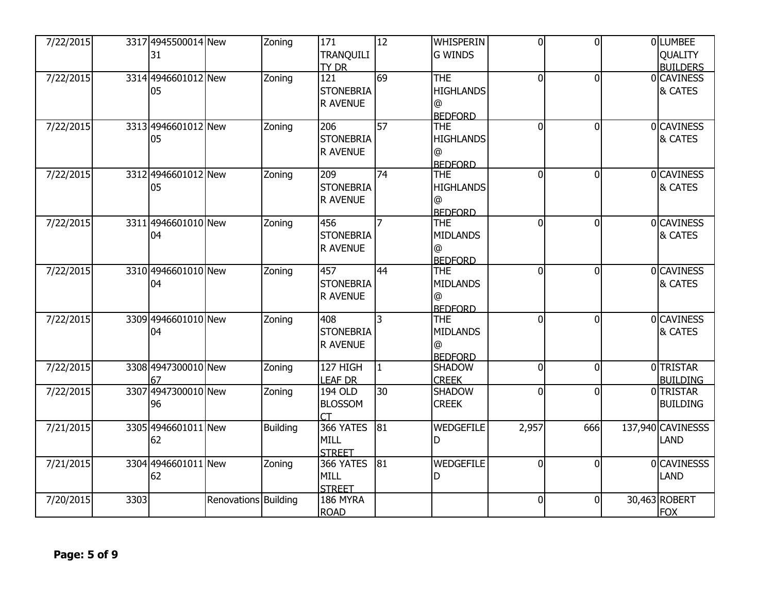| <b>TRANQUILI</b><br><b>G WINDS</b><br>QUALITY<br>31<br><b>BUILDERS</b><br><b>TY DR</b><br>69<br>0 CAVINESS<br>121<br><b>THE</b><br>7/22/2015<br>3314 4946601012 New<br>Zoning<br>0<br>$\Omega$<br><b>STONEBRIA</b><br><b>HIGHLANDS</b><br>& CATES<br>05<br><b>R AVENUE</b><br>$\circledR$<br><b>BEDFORD</b><br>$\overline{57}$<br>3313 4946601012 New<br>0 CAVINESS<br>7/22/2015<br>206<br>$\Omega$<br><b>THE</b><br>0<br>Zoning<br><b>STONEBRIA</b><br><b>HIGHLANDS</b><br>& CATES<br>05<br>R AVENUE<br>@<br><b>BEDFORD</b><br>$\overline{74}$<br>3312 4946601012 New<br>$\overline{209}$<br><b>THE</b><br>0 CAVINESS<br>7/22/2015<br>Zoning<br>$\Omega$<br>$\Omega$ | 7/22/2015 | 3317 4945500014 New | Zoning | 171              | $\overline{12}$ | <b>WHISPERIN</b> | $\overline{0}$ | $\overline{0}$ | 0 LUMBEE |
|-----------------------------------------------------------------------------------------------------------------------------------------------------------------------------------------------------------------------------------------------------------------------------------------------------------------------------------------------------------------------------------------------------------------------------------------------------------------------------------------------------------------------------------------------------------------------------------------------------------------------------------------------------------------------|-----------|---------------------|--------|------------------|-----------------|------------------|----------------|----------------|----------|
|                                                                                                                                                                                                                                                                                                                                                                                                                                                                                                                                                                                                                                                                       |           |                     |        |                  |                 |                  |                |                |          |
|                                                                                                                                                                                                                                                                                                                                                                                                                                                                                                                                                                                                                                                                       |           |                     |        |                  |                 |                  |                |                |          |
|                                                                                                                                                                                                                                                                                                                                                                                                                                                                                                                                                                                                                                                                       |           |                     |        |                  |                 |                  |                |                |          |
|                                                                                                                                                                                                                                                                                                                                                                                                                                                                                                                                                                                                                                                                       |           |                     |        |                  |                 |                  |                |                |          |
|                                                                                                                                                                                                                                                                                                                                                                                                                                                                                                                                                                                                                                                                       |           |                     |        |                  |                 |                  |                |                |          |
|                                                                                                                                                                                                                                                                                                                                                                                                                                                                                                                                                                                                                                                                       |           |                     |        |                  |                 |                  |                |                |          |
|                                                                                                                                                                                                                                                                                                                                                                                                                                                                                                                                                                                                                                                                       |           |                     |        |                  |                 |                  |                |                |          |
|                                                                                                                                                                                                                                                                                                                                                                                                                                                                                                                                                                                                                                                                       |           |                     |        |                  |                 |                  |                |                |          |
|                                                                                                                                                                                                                                                                                                                                                                                                                                                                                                                                                                                                                                                                       |           |                     |        |                  |                 |                  |                |                |          |
|                                                                                                                                                                                                                                                                                                                                                                                                                                                                                                                                                                                                                                                                       |           |                     |        |                  |                 |                  |                |                |          |
|                                                                                                                                                                                                                                                                                                                                                                                                                                                                                                                                                                                                                                                                       |           |                     |        |                  |                 |                  |                |                |          |
|                                                                                                                                                                                                                                                                                                                                                                                                                                                                                                                                                                                                                                                                       |           | 05                  |        | <b>STONEBRIA</b> |                 | <b>HIGHLANDS</b> |                |                | & CATES  |
| <b>R AVENUE</b><br>$\circledR$                                                                                                                                                                                                                                                                                                                                                                                                                                                                                                                                                                                                                                        |           |                     |        |                  |                 |                  |                |                |          |
| <b>BEDFORD</b>                                                                                                                                                                                                                                                                                                                                                                                                                                                                                                                                                                                                                                                        |           |                     |        |                  |                 |                  |                |                |          |
| 7/22/2015<br>3311 4946601010 New<br>456<br>$\overline{7}$<br>0 CAVINESS<br><b>THE</b><br>0<br>$\Omega$<br>Zoning                                                                                                                                                                                                                                                                                                                                                                                                                                                                                                                                                      |           |                     |        |                  |                 |                  |                |                |          |
| & CATES<br><b>STONEBRIA</b><br><b>MIDLANDS</b><br>04                                                                                                                                                                                                                                                                                                                                                                                                                                                                                                                                                                                                                  |           |                     |        |                  |                 |                  |                |                |          |
| R AVENUE<br>@                                                                                                                                                                                                                                                                                                                                                                                                                                                                                                                                                                                                                                                         |           |                     |        |                  |                 |                  |                |                |          |
| <b>BEDFORD</b>                                                                                                                                                                                                                                                                                                                                                                                                                                                                                                                                                                                                                                                        |           |                     |        |                  |                 |                  |                |                |          |
| 3310 4946601010 New<br>$\overline{44}$<br><b>THE</b><br>0 CAVINESS<br>7/22/2015<br>457<br>$\Omega$<br>$\Omega$<br>Zoning                                                                                                                                                                                                                                                                                                                                                                                                                                                                                                                                              |           |                     |        |                  |                 |                  |                |                |          |
| <b>STONEBRIA</b><br>& CATES<br>04<br><b>MIDLANDS</b>                                                                                                                                                                                                                                                                                                                                                                                                                                                                                                                                                                                                                  |           |                     |        |                  |                 |                  |                |                |          |
| <b>R AVENUE</b><br>@                                                                                                                                                                                                                                                                                                                                                                                                                                                                                                                                                                                                                                                  |           |                     |        |                  |                 |                  |                |                |          |
| <b>BEDFORD</b>                                                                                                                                                                                                                                                                                                                                                                                                                                                                                                                                                                                                                                                        |           |                     |        |                  |                 |                  |                |                |          |
| 3309 4946601010 New<br>$\overline{3}$<br>0 CAVINESS<br>7/22/2015<br>408<br><b>THE</b><br>0<br>$\Omega$<br>Zoning                                                                                                                                                                                                                                                                                                                                                                                                                                                                                                                                                      |           |                     |        |                  |                 |                  |                |                |          |
| <b>STONEBRIA</b><br><b>MIDLANDS</b><br>& CATES<br>04                                                                                                                                                                                                                                                                                                                                                                                                                                                                                                                                                                                                                  |           |                     |        |                  |                 |                  |                |                |          |
| R AVENUE<br>@                                                                                                                                                                                                                                                                                                                                                                                                                                                                                                                                                                                                                                                         |           |                     |        |                  |                 |                  |                |                |          |
| <b>BEDFORD</b>                                                                                                                                                                                                                                                                                                                                                                                                                                                                                                                                                                                                                                                        |           |                     |        |                  |                 |                  |                |                |          |
| 127 HIGH<br>0TRISTAR<br>7/22/2015<br>3308 4947300010 New<br>$\mathbf{1}$<br>Zoning<br><b>SHADOW</b><br>$\Omega$<br>$\Omega$                                                                                                                                                                                                                                                                                                                                                                                                                                                                                                                                           |           |                     |        |                  |                 |                  |                |                |          |
| LEAF DR<br><b>BUILDING</b><br><b>CREEK</b><br>67                                                                                                                                                                                                                                                                                                                                                                                                                                                                                                                                                                                                                      |           |                     |        |                  |                 |                  |                |                |          |
| 3307 4947300010 New<br>$\overline{30}$<br><b>SHADOW</b><br>0TRISTAR<br>194 OLD<br>7/22/2015<br>$\overline{0}$<br>Zoning<br>0                                                                                                                                                                                                                                                                                                                                                                                                                                                                                                                                          |           |                     |        |                  |                 |                  |                |                |          |
| <b>BLOSSOM</b><br><b>CREEK</b><br><b>BUILDING</b><br>96                                                                                                                                                                                                                                                                                                                                                                                                                                                                                                                                                                                                               |           |                     |        |                  |                 |                  |                |                |          |
|                                                                                                                                                                                                                                                                                                                                                                                                                                                                                                                                                                                                                                                                       |           |                     |        |                  |                 |                  |                |                |          |
| 366 YATES<br>81<br>7/21/2015<br>3305 4946601011 New<br>WEDGEFILE<br>2,957<br>666<br>137,940 CAVINESSS<br><b>Building</b>                                                                                                                                                                                                                                                                                                                                                                                                                                                                                                                                              |           |                     |        |                  |                 |                  |                |                |          |
| 62<br><b>MILL</b><br>LAND<br>D                                                                                                                                                                                                                                                                                                                                                                                                                                                                                                                                                                                                                                        |           |                     |        |                  |                 |                  |                |                |          |
| <b>STREET</b>                                                                                                                                                                                                                                                                                                                                                                                                                                                                                                                                                                                                                                                         |           |                     |        |                  |                 |                  |                |                |          |
| 3304 4946601011 New<br>81<br>WEDGEFILE<br>0 CAVINESSS<br>7/21/2015<br>Zoning<br>366 YATES<br>$\overline{0}$<br>$\Omega$                                                                                                                                                                                                                                                                                                                                                                                                                                                                                                                                               |           |                     |        |                  |                 |                  |                |                |          |
| LAND<br>62<br><b>MILL</b><br>D                                                                                                                                                                                                                                                                                                                                                                                                                                                                                                                                                                                                                                        |           |                     |        |                  |                 |                  |                |                |          |
| <b>STREET</b>                                                                                                                                                                                                                                                                                                                                                                                                                                                                                                                                                                                                                                                         |           |                     |        |                  |                 |                  |                |                |          |
| Renovations Building<br>$\overline{0}$<br>30,463 ROBERT<br>7/20/2015<br>3303<br>186 MYRA<br>$\overline{0}$                                                                                                                                                                                                                                                                                                                                                                                                                                                                                                                                                            |           |                     |        |                  |                 |                  |                |                |          |
| <b>FOX</b><br><b>ROAD</b>                                                                                                                                                                                                                                                                                                                                                                                                                                                                                                                                                                                                                                             |           |                     |        |                  |                 |                  |                |                |          |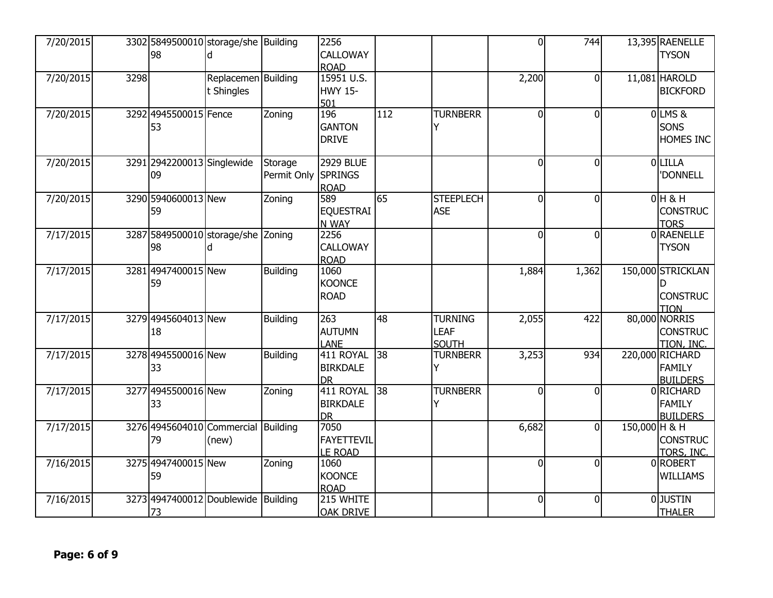| 7/20/2015 |      | 3302 5849500010 storage/she Building<br>98 |                     |                 | 2256<br>CALLOWAY             |     |                               | $\overline{0}$ | 744            |               | 13,395 RAENELLE<br><b>TYSON</b> |
|-----------|------|--------------------------------------------|---------------------|-----------------|------------------------------|-----|-------------------------------|----------------|----------------|---------------|---------------------------------|
|           |      |                                            |                     |                 | <b>ROAD</b>                  |     |                               |                |                |               |                                 |
| 7/20/2015 | 3298 |                                            | Replacemen Building |                 | 15951 U.S.                   |     |                               | 2,200          | $\Omega$       |               | 11,081 HAROLD                   |
|           |      |                                            | t Shingles          |                 | <b>HWY 15-</b>               |     |                               |                |                |               | <b>BICKFORD</b>                 |
| 7/20/2015 |      | 3292 4945500015 Fence                      |                     | Zoning          | 501<br>196                   | 112 | <b>TURNBERR</b>               | 0              | $\Omega$       |               | 0 LMS &                         |
|           |      | 53                                         |                     |                 | <b>GANTON</b>                |     |                               |                |                |               | SONS                            |
|           |      |                                            |                     |                 | <b>DRIVE</b>                 |     |                               |                |                |               | HOMES INC                       |
| 7/20/2015 |      | 3291 2942200013 Singlewide                 |                     | Storage         | <b>2929 BLUE</b>             |     |                               | 0              | $\Omega$       |               | 0 LILLA                         |
|           |      | 09                                         |                     | Permit Only     | SPRINGS                      |     |                               |                |                |               | 'DONNELL                        |
| 7/20/2015 |      | 3290 5940600013 New                        |                     | Zoning          | <b>ROAD</b><br>589           | 65  | <b>STEEPLECH</b>              | $\overline{0}$ | $\overline{0}$ |               | $0H$ & H                        |
|           |      | 59                                         |                     |                 | <b>EQUESTRAI</b>             |     | <b>ASE</b>                    |                |                |               | <b>CONSTRUC</b>                 |
|           |      |                                            |                     |                 | N WAY                        |     |                               |                |                |               | <b>TORS</b>                     |
| 7/17/2015 |      | 3287 5849500010 storage/she Zoning         |                     |                 | 2256                         |     |                               | $\overline{0}$ | $\Omega$       |               | 0 RAENELLE                      |
|           |      | 98                                         |                     |                 | CALLOWAY                     |     |                               |                |                |               | <b>TYSON</b>                    |
| 7/17/2015 |      | 3281 4947400015 New                        |                     | Building        | <b>ROAD</b><br>1060          |     |                               | 1,884          | 1,362          |               | 150,000 STRICKLAN               |
|           |      | 59                                         |                     |                 | <b>KOONCE</b>                |     |                               |                |                |               |                                 |
|           |      |                                            |                     |                 | <b>ROAD</b>                  |     |                               |                |                |               | <b>CONSTRUC</b>                 |
|           |      |                                            |                     |                 |                              |     |                               |                |                |               | <b>TION</b>                     |
| 7/17/2015 |      | 3279 4945604013 New                        |                     | <b>Building</b> | 263<br><b>AUTUMN</b>         | 48  | <b>TURNING</b><br><b>LEAF</b> | 2,055          | 422            |               | 80,000 NORRIS                   |
|           |      | 18                                         |                     |                 | <b>LANE</b>                  |     | <b>SOUTH</b>                  |                |                |               | <b>CONSTRUC</b><br>TION, INC.   |
| 7/17/2015 |      | 3278 4945500016 New                        |                     | <b>Building</b> | 411 ROYAL                    | 38  | <b>TURNBERR</b>               | 3,253          | 934            |               | 220,000 RICHARD                 |
|           |      | 33                                         |                     |                 | <b>BIRKDALE</b>              |     | Y                             |                |                |               | <b>FAMILY</b>                   |
|           |      |                                            |                     |                 | <b>DR</b>                    |     |                               |                |                |               | <b>BUILDERS</b>                 |
| 7/17/2015 |      | 3277 4945500016 New<br>33                  |                     | Zoning          | 411 ROYAL<br><b>BIRKDALE</b> | 38  | <b>TURNBERR</b><br>Y          | $\mathbf{0}$   | $\Omega$       |               | 0 RICHARD<br><b>FAMILY</b>      |
|           |      |                                            |                     |                 | <b>DR</b>                    |     |                               |                |                |               | <b>BUILDERS</b>                 |
| 7/17/2015 |      | 3276 4945604010 Commercial Building        |                     |                 | 7050                         |     |                               | 6,682          | $\Omega$       | 150,000 H & H |                                 |
|           |      | 79                                         | (new)               |                 | <b>FAYETTEVIL</b>            |     |                               |                |                |               | <b>CONSTRUC</b>                 |
|           |      |                                            |                     |                 | <b>LE ROAD</b>               |     |                               |                |                |               | TORS, INC.                      |
| 7/16/2015 |      | 3275 4947400015 New<br>59                  |                     | Zoning          | 1060<br><b>KOONCE</b>        |     |                               | $\overline{0}$ | $\Omega$       |               | 0ROBERT<br><b>WILLIAMS</b>      |
|           |      |                                            |                     |                 | <b>ROAD</b>                  |     |                               |                |                |               |                                 |
| 7/16/2015 |      | 3273 4947400012 Doublewide                 |                     | <b>Building</b> | 215 WHITE                    |     |                               | $\mathbf 0$    | $\Omega$       |               | 0JUSTIN                         |
|           |      | 73                                         |                     |                 | <b>OAK DRIVE</b>             |     |                               |                |                |               | <b>THALER</b>                   |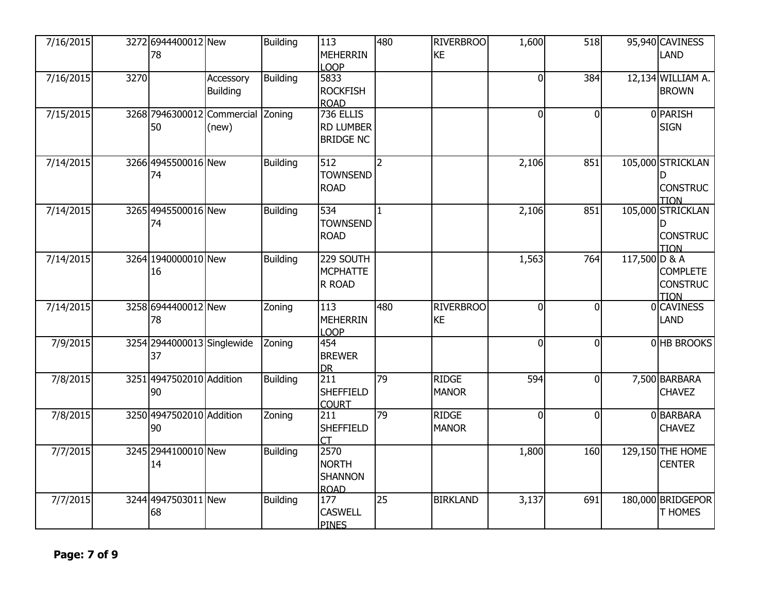| 7/16/2015 |      | 3272 6944400012 New<br>78               |                              | <b>Building</b> | 113<br><b>MEHERRIN</b><br><b>LOOP</b>                 | 480             | <b>RIVERBROO</b><br><b>KE</b> | 1,600          | 518            |               | 95,940 CAVINESS<br><b>LAND</b>                           |
|-----------|------|-----------------------------------------|------------------------------|-----------------|-------------------------------------------------------|-----------------|-------------------------------|----------------|----------------|---------------|----------------------------------------------------------|
| 7/16/2015 | 3270 |                                         | Accessory<br><b>Building</b> | <b>Building</b> | 5833<br><b>ROCKFISH</b><br><b>ROAD</b>                |                 |                               | $\overline{0}$ | 384            |               | 12,134 WILLIAM A.<br><b>BROWN</b>                        |
| 7/15/2015 |      | 3268 7946300012 Commercial Zoning<br>50 | (new)                        |                 | 736 ELLIS<br><b>RD LUMBER</b><br><b>BRIDGE NC</b>     |                 |                               | $\overline{0}$ | $\overline{0}$ |               | 0 PARISH<br><b>SIGN</b>                                  |
| 7/14/2015 |      | 3266 4945500016 New<br>74               |                              | <b>Building</b> | 512<br><b>TOWNSEND</b><br><b>ROAD</b>                 | $\overline{2}$  |                               | 2,106          | 851            |               | 105,000 STRICKLAN<br><b>CONSTRUC</b><br><b>TION</b>      |
| 7/14/2015 |      | 3265 4945500016 New<br>74               |                              | <b>Building</b> | $\overline{534}$<br><b>TOWNSEND</b><br><b>ROAD</b>    | $\mathbf{1}$    |                               | 2,106          | 851            |               | 105,000 STRICKLAN<br>D<br><b>CONSTRUC</b><br><b>TION</b> |
| 7/14/2015 |      | 3264 1940000010 New<br>16               |                              | <b>Building</b> | 229 SOUTH<br><b>MCPHATTE</b><br>R ROAD                |                 |                               | 1,563          | 764            | 117,500 D & A | <b>COMPLETE</b><br><b>CONSTRUC</b><br><b>TION</b>        |
| 7/14/2015 |      | 3258 6944400012 New<br>78               |                              | Zoning          | 113<br><b>MEHERRIN</b><br>LOOP                        | 480             | <b>RIVERBROO</b><br><b>KE</b> | 0              | $\Omega$       |               | 0 CAVINESS<br><b>LAND</b>                                |
| 7/9/2015  |      | 3254 2944000013 Singlewide<br>37        |                              | Zoning          | 454<br><b>BREWER</b><br><b>DR</b>                     |                 |                               | $\overline{0}$ | $\Omega$       |               | 0 HB BROOKS                                              |
| 7/8/2015  |      | 3251 4947502010 Addition<br>90          |                              | <b>Building</b> | 211<br><b>SHEFFIELD</b><br><b>COURT</b>               | $\overline{79}$ | <b>RIDGE</b><br><b>MANOR</b>  | 594            | $\overline{0}$ |               | 7,500 BARBARA<br><b>CHAVEZ</b>                           |
| 7/8/2015  |      | 3250 4947502010 Addition<br>90          |                              | Zoning          | 211<br><b>SHEFFIELD</b><br>CT                         | 79              | <b>RIDGE</b><br><b>MANOR</b>  | $\overline{0}$ | $\overline{0}$ |               | 0 BARBARA<br><b>CHAVEZ</b>                               |
| 7/7/2015  |      | 3245 2944100010 New<br>14               |                              | <b>Building</b> | 2570<br><b>NORTH</b><br><b>SHANNON</b><br><b>ROAD</b> |                 |                               | 1,800          | 160            |               | 129,150 THE HOME<br><b>CENTER</b>                        |
| 7/7/2015  |      | 3244 4947503011 New<br>68               |                              | <b>Building</b> | 177<br><b>CASWELL</b><br><b>PINES</b>                 | $\overline{25}$ | <b>BIRKLAND</b>               | 3,137          | 691            |               | 180,000 BRIDGEPOR<br>T HOMES                             |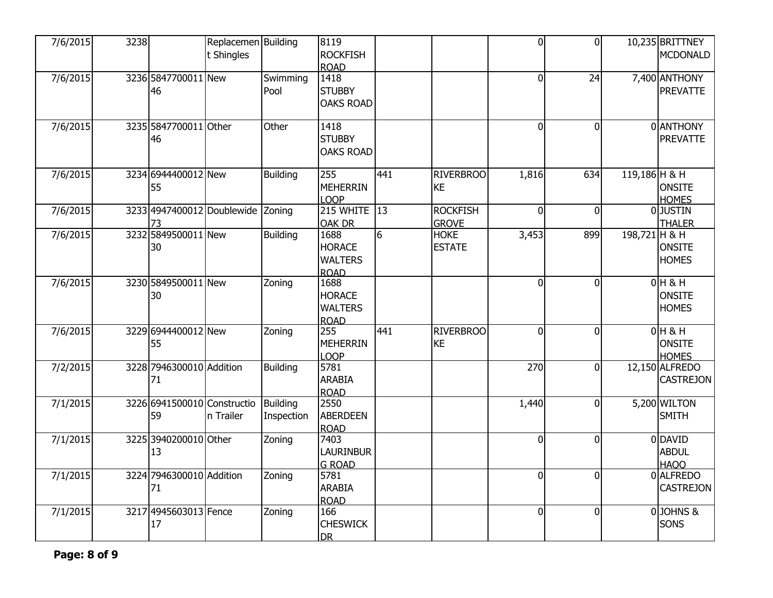| 7/6/2015 | 3238 |                                   | Replacemen Building<br>t Shingles |                               | 8119<br><b>ROCKFISH</b><br>ROAD                        |                 |                                 | $\overline{0}$ | $\overline{0}$ |               | 10,235 BRITTNEY<br><b>MCDONALD</b>        |
|----------|------|-----------------------------------|-----------------------------------|-------------------------------|--------------------------------------------------------|-----------------|---------------------------------|----------------|----------------|---------------|-------------------------------------------|
| 7/6/2015 |      | 3236 5847700011 New<br>46         |                                   | Swimming<br>Pool              | 1418<br><b>STUBBY</b><br><b>OAKS ROAD</b>              |                 |                                 | $\overline{0}$ | 24             |               | 7,400 ANTHONY<br><b>PREVATTE</b>          |
| 7/6/2015 |      | 3235 5847700011 Other<br>46       |                                   | Other                         | 1418<br><b>STUBBY</b><br><b>OAKS ROAD</b>              |                 |                                 | $\overline{0}$ | $\Omega$       |               | 0 ANTHONY<br><b>PREVATTE</b>              |
| 7/6/2015 |      | 3234 6944400012 New<br>55         |                                   | <b>Building</b>               | 255<br><b>MEHERRIN</b><br>LOOP                         | 441             | <b>RIVERBROO</b><br><b>KE</b>   | 1,816          | 634            | 119,186 H & H | <b>ONSITE</b><br><b>HOMES</b>             |
| 7/6/2015 |      | 3233 4947400012 Doublewide Zoning |                                   |                               | <b>215 WHITE</b> 13<br><b>OAK DR</b>                   |                 | <b>ROCKFISH</b><br><b>GROVE</b> | $\overline{0}$ | 0              |               | 0JUSTIN<br><b>THALER</b>                  |
| 7/6/2015 |      | 3232 5849500011 New<br>30         |                                   | <b>Building</b>               | 1688<br><b>HORACE</b><br><b>WALTERS</b><br><b>ROAD</b> | $6\overline{6}$ | <b>HOKE</b><br><b>ESTATE</b>    | 3,453          | 899            | 198,721 H & H | <b>ONSITE</b><br><b>HOMES</b>             |
| 7/6/2015 |      | 3230 5849500011 New<br>30         |                                   | Zoning                        | 1688<br><b>HORACE</b><br><b>WALTERS</b><br><b>ROAD</b> |                 |                                 | $\overline{0}$ | $\overline{0}$ |               | $0H$ & H<br><b>ONSITE</b><br><b>HOMES</b> |
| 7/6/2015 |      | 3229 6944400012 New<br>55         |                                   | Zoning                        | 255<br>MEHERRIN<br>LOOP                                | 441             | <b>RIVERBROO</b><br><b>KE</b>   | $\overline{0}$ | $\Omega$       |               | $0H$ & H<br><b>ONSITE</b><br><b>HOMES</b> |
| 7/2/2015 |      | 3228 7946300010 Addition<br>71    |                                   | <b>Building</b>               | 5781<br><b>ARABIA</b><br><b>ROAD</b>                   |                 |                                 | 270            | $\Omega$       |               | 12,150 ALFREDO<br>CASTREJON               |
| 7/1/2015 |      | 3226 6941500010 Constructio<br>59 | In Trailer                        | <b>Building</b><br>Inspection | 2550<br><b>ABERDEEN</b><br><b>ROAD</b>                 |                 |                                 | 1,440          | $\Omega$       |               | 5,200 WILTON<br><b>SMITH</b>              |
| 7/1/2015 |      | 3225 3940200010 Other<br>13       |                                   | Zoning                        | 7403<br>LAURINBUR<br><b>G ROAD</b>                     |                 |                                 | $\overline{0}$ | $\Omega$       |               | 0 DAVID<br><b>ABDUL</b><br><b>HAOO</b>    |
| 7/1/2015 |      | 3224 7946300010 Addition<br>71    |                                   | Zoning                        | 5781<br><b>ARABIA</b><br><b>ROAD</b>                   |                 |                                 | $\overline{0}$ | $\overline{0}$ |               | 0 ALFREDO<br><b>CASTREJON</b>             |
| 7/1/2015 |      | 3217 4945603013 Fence<br>17       |                                   | Zoning                        | 166<br><b>CHESWICK</b><br><b>DR</b>                    |                 |                                 | $\overline{0}$ | $\mathbf{0}$   |               | 0JOHNS&<br>SONS                           |